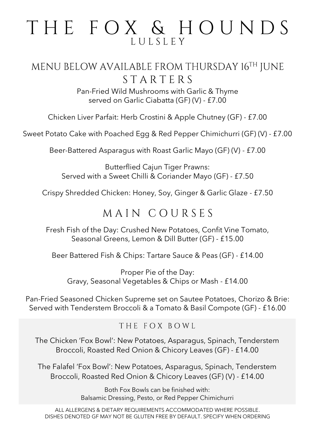# THE FOX & HOUNDS LULSLEY

### MENU BELOW AVAILABLE FROM THURSDAY 16TH JUNE STARTERS

Pan-Fried Wild Mushrooms with Garlic & Thyme served on Garlic Ciabatta (GF) (V) - £7.00

Chicken Liver Parfait: Herb Crostini & Apple Chutney (GF) - £7.00

Sweet Potato Cake with Poached Egg & Red Pepper Chimichurri (GF) (V) - £7.00

Beer-Battered Asparagus with Roast Garlic Mayo (GF) (V) - £7.00

Butterflied Cajun Tiger Prawns: Served with a Sweet Chilli & Coriander Mayo (GF) - £7.50

Crispy Shredded Chicken: Honey, Soy, Ginger & Garlic Glaze - £7.50

## MAIN COURSES

Fresh Fish of the Day: Crushed New Potatoes, Confit Vine Tomato, Seasonal Greens, Lemon & Dill Butter (GF) - £15.00

Beer Battered Fish & Chips: Tartare Sauce & Peas (GF) - £14.00

Proper Pie of the Day: Gravy, Seasonal Vegetables & Chips or Mash - £14.00

Pan-Fried Seasoned Chicken Supreme set on Sautee Potatoes, Chorizo & Brie: Served with Tenderstem Broccoli & a Tomato & Basil Compote (GF) - £16.00

#### THE FOX BOWL

The Chicken 'Fox Bowl': New Potatoes, Asparagus, Spinach, Tenderstem Broccoli, Roasted Red Onion & Chicory Leaves (GF) - £14.00

The Falafel 'Fox Bowl': New Potatoes, Asparagus, Spinach, Tenderstem Broccoli, Roasted Red Onion & Chicory Leaves (GF) (V) - £14.00

> Both Fox Bowls can be finished with: Balsamic Dressing, Pesto, or Red Pepper Chimichurri